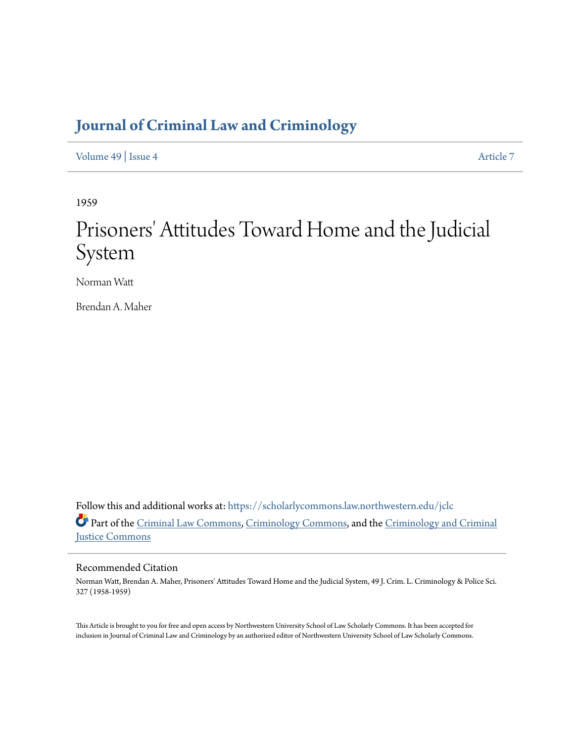## **[Journal of Criminal Law and Criminology](https://scholarlycommons.law.northwestern.edu/jclc?utm_source=scholarlycommons.law.northwestern.edu%2Fjclc%2Fvol49%2Fiss4%2F7&utm_medium=PDF&utm_campaign=PDFCoverPages)**

[Volume 49](https://scholarlycommons.law.northwestern.edu/jclc/vol49?utm_source=scholarlycommons.law.northwestern.edu%2Fjclc%2Fvol49%2Fiss4%2F7&utm_medium=PDF&utm_campaign=PDFCoverPages) | [Issue 4](https://scholarlycommons.law.northwestern.edu/jclc/vol49/iss4?utm_source=scholarlycommons.law.northwestern.edu%2Fjclc%2Fvol49%2Fiss4%2F7&utm_medium=PDF&utm_campaign=PDFCoverPages) [Article 7](https://scholarlycommons.law.northwestern.edu/jclc/vol49/iss4/7?utm_source=scholarlycommons.law.northwestern.edu%2Fjclc%2Fvol49%2Fiss4%2F7&utm_medium=PDF&utm_campaign=PDFCoverPages)

1959

# Prisoners' Attitudes Toward Home and the Judicial System

Norman Watt

Brendan A. Maher

Follow this and additional works at: [https://scholarlycommons.law.northwestern.edu/jclc](https://scholarlycommons.law.northwestern.edu/jclc?utm_source=scholarlycommons.law.northwestern.edu%2Fjclc%2Fvol49%2Fiss4%2F7&utm_medium=PDF&utm_campaign=PDFCoverPages) Part of the [Criminal Law Commons](http://network.bepress.com/hgg/discipline/912?utm_source=scholarlycommons.law.northwestern.edu%2Fjclc%2Fvol49%2Fiss4%2F7&utm_medium=PDF&utm_campaign=PDFCoverPages), [Criminology Commons](http://network.bepress.com/hgg/discipline/417?utm_source=scholarlycommons.law.northwestern.edu%2Fjclc%2Fvol49%2Fiss4%2F7&utm_medium=PDF&utm_campaign=PDFCoverPages), and the [Criminology and Criminal](http://network.bepress.com/hgg/discipline/367?utm_source=scholarlycommons.law.northwestern.edu%2Fjclc%2Fvol49%2Fiss4%2F7&utm_medium=PDF&utm_campaign=PDFCoverPages) [Justice Commons](http://network.bepress.com/hgg/discipline/367?utm_source=scholarlycommons.law.northwestern.edu%2Fjclc%2Fvol49%2Fiss4%2F7&utm_medium=PDF&utm_campaign=PDFCoverPages)

## Recommended Citation

Norman Watt, Brendan A. Maher, Prisoners' Attitudes Toward Home and the Judicial System, 49 J. Crim. L. Criminology & Police Sci. 327 (1958-1959)

This Article is brought to you for free and open access by Northwestern University School of Law Scholarly Commons. It has been accepted for inclusion in Journal of Criminal Law and Criminology by an authorized editor of Northwestern University School of Law Scholarly Commons.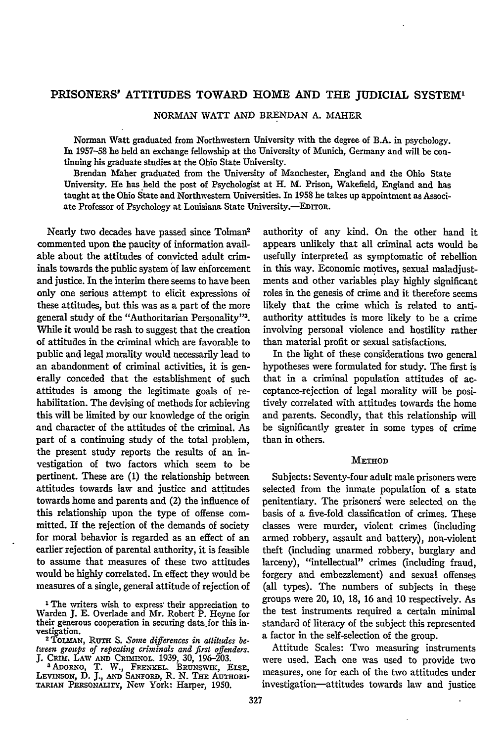### PRISONERS' ATTITUDES TOWARD HOME **AND** THE JUDICIAL SYSTEM'

NORMAN WATT AND BRENDAN **A.** MAHER

Norman Watt graduated from Northwestern University with the degree of B.A. in psychology. In **1957-58** he held an exchange fellowship at the University of Munich, Germany and will be continuing his graduate studies at the Ohio State University.

Brendan Maher graduated from the University of Manchester, England and the Ohio State University. He has held the post of Psychologist at H. M. Prison, Wakefield, England and has taught at the Ohio State and Northwestern Universities. In 1958 he takes up appointment as Associate Professor of Psychology at Louisiana State University.-EDITOR.

Nearly two decades have passed since Tolman commented upon the paucity of information available about the attitudes of convicted adult criminals towards the public system **of** law enforcement and justice. In the interim there seems to have been only one serious attempt to elicit expressions of these attitudes, but this was as a part of the more general study of the "Authoritarian Personality"<sup>3</sup>. While it would be rash to suggest that the creation of attitudes in the criminal which are favorable to public and legal morality would necessarily lead to an abandonment of criminal activities, it is generally conceded that the establishment of such attitudes is among the legitimate goals of rehabilitation. The devising of methods for achieving this will be limited by our knowledge of the origin and character of the attitudes of the criminal. As part of a continuing study of the total problem, the present study reports the results of an investigation of two factors which seem to be pertinent. These are **(1)** the relationship between attitudes towards law and justice and attitudes towards home and parents and (2) the influence of this relationship upon the type of offense committed. If the rejection of the demands of society for moral behavior is regarded as an effect of an earlier rejection of parental authority, it is feasible to assume that measures of these two attitudes would be highly correlated. In effect they would be measures of a single, general attitude of rejection of

authority of any kind. On the other hand it appears unlikely that all criminal acts would be usefully interpreted as symptomatic of rebellion in this way. Economic motives, sexual maladjustments and other variables play highly significant roles in the genesis of crime and it therefore seems likely that the crime which is related to antiauthority attitudes is more likely to be a crime involving personal violence and hostility rather than material profit or sexual satisfactions.

In the light of these considerations two general hypotheses were formulated for study. The first is that in a criminal population attitudes of acceptance-rejection of legal morality will be positively correlated with attitudes towards the home and parents. Secondly, that this relationship will be significantly greater in some types of crime than in others.

#### **METHOD**

Subjects: Seventy-four adult male prisoners were selected from the inmate population of a state penitentiary. The prisoners were selected on the basis of a five-fold classification of crimes. These classes were murder, violent crimes (including armed robbery, assault and battery), non-violent theft (including unarmed robbery, burglary and larceny), "intellectual" crimes (including fraud, forgery and embezzlement) and sexual offenses (all types). The numbers of subjects in these groups were 20, 10, 18, 16 and 10 respectively. As the test instruments required a certain minimal standard of literacy of the subject this represented a factor in the self-selection of the group.

Attitude Scales: Two measuring instruments were used. Each one was used to provide two measures, one for each of the two attitudes under investigation--attitudes towards law and justice

<sup>&</sup>lt;sup>1</sup> The writers wish to express their appreciation to Warden **J. E.** Overlade and Mr. Robert P. Heyne for their generous cooperation in securing data.for this in-

vestigation.<br><sup>2</sup> TOLMAN, RUTH S. Some differences in alliludes be-<br>*lween groups of repealing criminals and first offenders. tween groups of repealing criminals and first offenders. J.* Cimu. LAW **AND** Cnm1 NoL. 1939, 30, 196-203. **<sup>3</sup>**ADoRNo, T. W., **FRENKEL. BRUNSwnc,** *ELsE,*

LEVINSON, D. J., AND SANFORD, R. N. THE AUTHORI-TARIAN **PERSONALiTy,** New York: Harper, **1950.**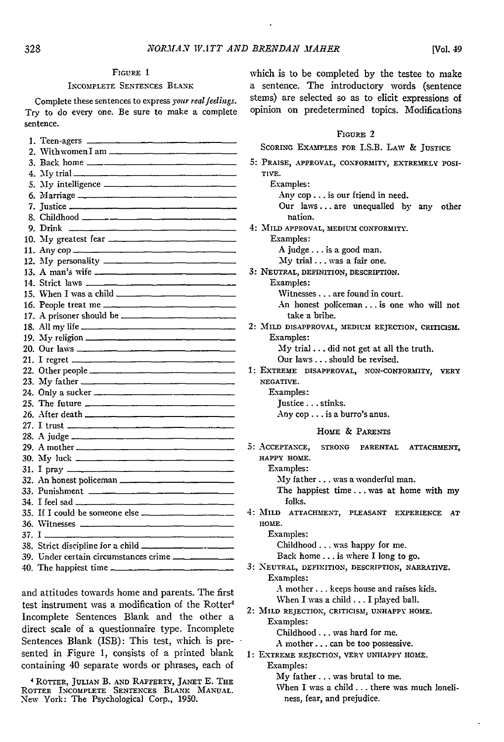#### 328

## **FIGURE** 1

#### INCOMPLETE SENTENCES BLANK

Complete these sentences to express your *realfeelings.* Try to do every one. Be sure to make a complete sentence.

| 2. With women I am $\frac{1}{\sqrt{2}}$                                                                                                                                                                                                                                                                |
|--------------------------------------------------------------------------------------------------------------------------------------------------------------------------------------------------------------------------------------------------------------------------------------------------------|
|                                                                                                                                                                                                                                                                                                        |
|                                                                                                                                                                                                                                                                                                        |
| 5. My intelligence                                                                                                                                                                                                                                                                                     |
|                                                                                                                                                                                                                                                                                                        |
| 7. Justice <u>_____________________________</u>                                                                                                                                                                                                                                                        |
|                                                                                                                                                                                                                                                                                                        |
| 9. Drink $\frac{1}{2}$ = $\frac{1}{2}$ = $\frac{1}{2}$ = $\frac{1}{2}$ = $\frac{1}{2}$ = $\frac{1}{2}$ = $\frac{1}{2}$ = $\frac{1}{2}$ = $\frac{1}{2}$ = $\frac{1}{2}$ = $\frac{1}{2}$ = $\frac{1}{2}$ = $\frac{1}{2}$ = $\frac{1}{2}$ = $\frac{1}{2}$ = $\frac{1}{2}$ = $\frac{1}{2}$ = $\frac{1}{2}$ |
|                                                                                                                                                                                                                                                                                                        |
|                                                                                                                                                                                                                                                                                                        |
|                                                                                                                                                                                                                                                                                                        |
|                                                                                                                                                                                                                                                                                                        |
|                                                                                                                                                                                                                                                                                                        |
|                                                                                                                                                                                                                                                                                                        |
| 16. People treat me                                                                                                                                                                                                                                                                                    |
|                                                                                                                                                                                                                                                                                                        |
|                                                                                                                                                                                                                                                                                                        |
|                                                                                                                                                                                                                                                                                                        |
|                                                                                                                                                                                                                                                                                                        |
|                                                                                                                                                                                                                                                                                                        |
|                                                                                                                                                                                                                                                                                                        |
|                                                                                                                                                                                                                                                                                                        |
|                                                                                                                                                                                                                                                                                                        |
|                                                                                                                                                                                                                                                                                                        |
|                                                                                                                                                                                                                                                                                                        |
|                                                                                                                                                                                                                                                                                                        |
|                                                                                                                                                                                                                                                                                                        |
|                                                                                                                                                                                                                                                                                                        |
|                                                                                                                                                                                                                                                                                                        |
|                                                                                                                                                                                                                                                                                                        |
| 32. An honest policeman                                                                                                                                                                                                                                                                                |
|                                                                                                                                                                                                                                                                                                        |
|                                                                                                                                                                                                                                                                                                        |
| 35. If I could be someone else $\frac{1}{2}$                                                                                                                                                                                                                                                           |
|                                                                                                                                                                                                                                                                                                        |
| $37. I \quad \overline{\phantom{277}}$                                                                                                                                                                                                                                                                 |
|                                                                                                                                                                                                                                                                                                        |
| 39. Under certain circumstances crime __________                                                                                                                                                                                                                                                       |
|                                                                                                                                                                                                                                                                                                        |
|                                                                                                                                                                                                                                                                                                        |

and attitudes towards home and parents. The first test instrument was a modification of the Rotter<sup>4</sup> Incomplete Sentences Blank and the other a direct scale of a questionnaire type. Incomplete Sentences Blank (ISB): This test, which is presented in Figure 1, consists of a printed blank containing 40 separate words or phrases, each of

4 ROTTER, **JULIAN** B. **AND RAFFERTY, JANET** E. **THE** ROTTER **INCOMPLETE** SENTENCES BLANK **MANUAL.** New York: The Psychological Corp., **1950.**

which is to be completed by the testee to make a sentence. The introductory Words (sentence stems) are selected so as to elicit expressions of opinion on predetermined topics. Modifications

#### FIGURE 2

|  | SCORING EXAMPLES FOR I.S.B. LAW & JUSTICE |  |  |  |  |  |
|--|-------------------------------------------|--|--|--|--|--|
|--|-------------------------------------------|--|--|--|--|--|

**5:** PRAISE, **APPROVAL, CONFORMITY, EXTREMELY POSI-TIVE.**

Examples: Any cop.., is our friend in need. Our laws **...** are unequalled by any other nation. 4: **MILD** APPROVAL, **MEDIUM** CONFORMITY. Examples: A judge... is a good man. **My** trial.., was a fair one.

**3: NEUTRAL, DEFINITION, DESCRIPTION.** Examples:

Witnesses... are found in court.

An honest policeman **...** is one who will not take a bribe.

2: MILD **DISAPPROVAL, MEDIUM REJECTION,** CRITICISM. Examples:

My trial **...** did not get at all the truth.

Our laws... should be revised.

**1:** EXTREME **DISAPPROVAL, NON-CONFORMITY, VERY NEGATIVE.**

Examples:

Justice... stinks.

Any cop... is a burro's anus.

#### HoME **& PARENTS**

**5: ACCEPTANCE, STRONG** PARENTAL **ATTACHMENT, HAPPY HOME.**

Examples:

My father.., was a wonderful man.

The happiest time... was at home with my folks.

4: **MILD ATTACHMENT, PLEASANT EXPERIENCE AT HOME.**

Examples:

Childhood ... was happy for me.

Back home.., is where I long to go.

**3: N EUTRAL,** DEFINITION, **DESCRIPTION, NARRATIVE.** Examples:

**A** mother **...** keeps house and raises kids.

When I was a child... I played ball.

2: **MILD REJECTION, CRITICISM, UNHAPPY HOME.** Examples:

Childhood ... was hard for me.

A mother... can be too possessive.

**1:** EXTREME **REJECTION, VERY UNHAPPY HOME.** Examples:

My father.., was brutal to me.

When I was a child **...** there was much loneliness, fear, and prejudice.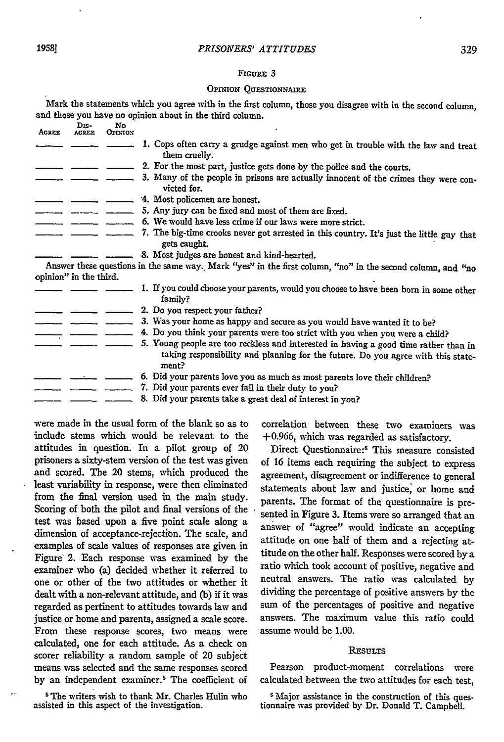#### FIGURE 3

#### OPINION **QUESTIONNAIRE**

Mark the statements which you agree with in the first column, those you disagree with in the second column, and those you have no opinion about in the third column.

| <b>AGREE</b> | Dis-<br><b>ACREE</b>   | No<br><b>OPINION</b> |                                                                                                                                                                                   |
|--------------|------------------------|----------------------|-----------------------------------------------------------------------------------------------------------------------------------------------------------------------------------|
|              |                        |                      | 1. Cops often carry a grudge against men who get in trouble with the law and treat<br>them cruelly.                                                                               |
|              |                        |                      | 2. For the most part, justice gets done by the police and the courts.                                                                                                             |
|              |                        |                      | 3. Many of the people in prisons are actually innocent of the crimes they were con-<br>victed for.                                                                                |
|              |                        |                      | 4. Most policemen are honest.                                                                                                                                                     |
|              |                        |                      | 5. Any jury can be fixed and most of them are fixed.                                                                                                                              |
|              |                        |                      | 6. We would have less crime if our laws were more strict.                                                                                                                         |
|              |                        |                      | 7. The big-time crooks never got arrested in this country. It's just the little guy that<br>gets caught.                                                                          |
|              |                        |                      | 8. Most judges are honest and kind-hearted.                                                                                                                                       |
|              | opinion" in the third. |                      | Answer these questions in the same way. Mark "yes" in the first column, "no" in the second column, and "no                                                                        |
|              |                        |                      | 1. If you could choose your parents, would you choose to have been born in some other<br>family?                                                                                  |
|              |                        |                      | 2. Do you respect your father?                                                                                                                                                    |
|              |                        |                      | 3. Was your home as happy and secure as you would have wanted it to be?                                                                                                           |
|              |                        |                      | 4. Do you think your parents were too strict with you when you were a child?                                                                                                      |
|              |                        |                      | 5. Young people are too reckless and interested in having a good time rather than in<br>taking responsibility and planning for the future. Do you agree with this state-<br>ment? |
|              |                        |                      | 6. Did your parents love you as much as most parents love their children?                                                                                                         |
|              |                        |                      | 7. Did your parents ever fail in their duty to you?                                                                                                                               |
|              |                        |                      | 8. Did your parents take a great deal of interest in you?                                                                                                                         |

were made in the usual form of the blank so as to include stems which would be relevant to the attitudes in question. In a pilot group of 20 prisoners a sixty-stem version of the test was given and scored. The 20 stems, which produced the least variability in response, were then eliminated from the final version used in the main study. Scoring of both the pilot and final versions of the test was based upon a five point scale along a dimension of acceptance-rejectibn. The scale, and examples of scale values of responses are given in Figure' 2. Each response was examined by the examiner who (a) decided whether it referred to one or other of the two attitudes or whether it dealt with a non-relevant attitude, and (b) if it was regarded as pertinent to attitudes towards law and justice or home and parents, assigned a scale score. From these response scores, two means were calculated, one for each attitude. As a check on scorer reliability a random sample of 20 subject means was selected and the same responses scored by an independent examiner.<sup>5</sup> The coefficient of

<sup>5</sup> The writers wish to thank Mr. Charles Hulin who assisted in this aspect of the investigation.

correlation between these two examiners was +0.966, which was regarded as satisfactory.

Direct Questionnaire:<sup>6</sup> This measure consisted of 16 items each requiring the subject to express agreement, disagreement or indifference to general statements about law and justice, or home and parents. The format of the questionnaire is presented in Figure 3. Items were so arranged that an answer of "agree" would indicate an accepting attitude on one half of them and a rejecting attitude on the other half. Responses were scored by a ratio which took account of positive, negative and neutral answers. The ratio was calculated by dividing the percentage of positive answers by the sum of the percentages of positive and negative answers. The maximum value this ratio could assume would be 1.00.

#### **RESULTS**

Pearson product-moment correlations were calculated between the two attitudes for each test,

**6** Major assistance in the construction of this questionnaire was provided by Dr. Donald T. Campbell.